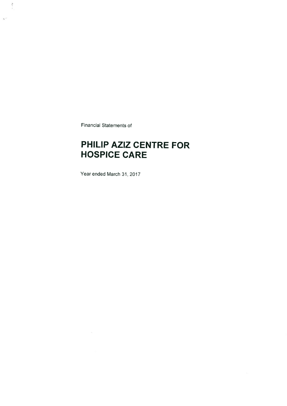Financiail Statements of

 $\eta$  .

## PHILIP AZIZ CENTRE FOR **HOSPICE CARE**

Year ended March 31.2017

 $\sim$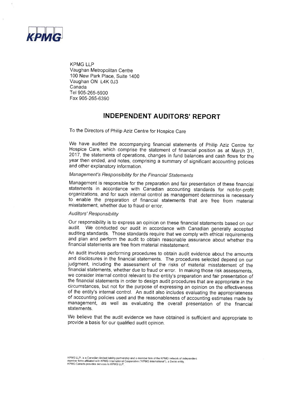

KPMG LLP Vaughan Metropolitan Centre '100 New Park Place, Suite 1400 Vaughan ON L4K 0J3 Canada Tel 905-265-5900 Fax 905-265-6390

### INDEPENDENT AUDITORS' REPORT

To the Directors of Philip Aziz Centre for Hospice Care

we have audited the accompanying financial statements of philip Aziz centre for Hospice Care, which comprise the statement of financial position as at March 31, 2017, the statements of operations, changes in fund balances and cash flows for the year then ended, and notes, comprising a summary of significant accounting policies and other explanatory information.

#### Management's Responsibility for the Financial Statements

Management is responsible for the preparation and fair presentation of these financial statements in accordance with Canadian accounting standards for not-for-profit organizations, and for such internal control as management determines is necessary to enable the preparation of financial statements that are free from material misstatement, whether due to fraud or erro

#### Auditors' Responsibility

Our responsibility is to express an opinion on these financial statements based on our audit. We conducted our audit in accordance with Canadian generally accepted auditing standards. Those standards require that we comply with ethical requirements and plan and perform the audit to obtain reasonable assurance about whether the financial statements are free from material misstatement.

An audit involves performing procedures to obtain audit evidence about the amounts and disclosures in the financial statements. The procedures selected depend on our judgment, including the assessment of the risks of material misstatement of the financial statements, whether due to fraud or error. In making those risk assessments, we consider internal control relevant to the entity's preparation and fair presentation of the financial statements in order to design audit procedures that are appropriate in the circumstances, but not for the purpose of expressing an opinion on the effectiveness of the entity's internal control. An audit also includes evaluating the appropriateness of iaccounting policies used and the reasonableness of accounting estimates made by management, as well as evaluating the overall presentation of the financial statements.

We believe that the audit evidence we have obtained is sufficient and appropriate to provide a basis for our qualified audit opinion.

KPMG LLP, is a Canadian limited liability partnership and a member firm of the KPMG network of independer<br>member firms affiliated with KPMG International Cooperative ("KPMG International"), a Swiss entity.<br>KPMG Canada prov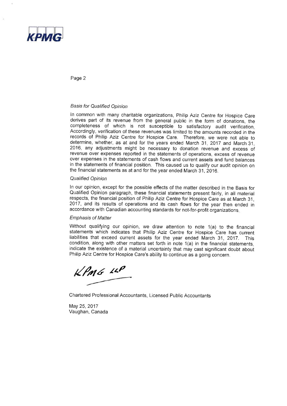

Page 2

#### **Basis for Qualified Opinion**

ln cornmon with many charitable organizations, Philip Aziz Centre for Hospice Care derives part of its revenue from the general public in the form of donations, the completeness of which is not susceptible to satisfactory audit verification. Accordingly, verification of these revenues was limited to the amounts recorded in the records of Philip Aziz Centre for Hospice Care. Therefore, we were not able to determine, whether, as at and for the years ended March 31, 2017 and March 31, 2016, any acljustments might be necessary to donation revenue and excess of revenue over expenses reported in the statements of operations, excess of revenue over expenses in the statements of cash flows and current assets and fund balances in the statements of financial position. This caused us to qualify our audit opinion on the financial statements as at and for the year ended March 31, 2016.

#### Qualified Opinion

In our opinion, except for the possible effects of the matter described in the Basis for Qualified Opinion paragraph, these financial statements present fairly, in all material respects, the financial position of Philip Aziz Centre for Hospice Care as at March 31, 2017, and its results of operations and its cash flows for the year then ended in accordance with Canadian accounting standards for not-for-profit organizations.

#### **Emphasis of Matter**

Without qualifying our opinion, we draw attention to note 1(a) to the financial statements which indicates that Philip Aziz Centre for Hospice Care has current liabilities that exceed current assets for the year ended March 31, 2017. This condition, along with other matters set forth in note  $1(a)$  in the financial statements, indicate the existence of a material uncertainty that may cast significant doubt about Philip Aziz Centre for Hospice Care's ability to continue as a going concern.

 $KP$ *MG*  $IP$ 

Chartered Professional Accountants, Licensed Public Accountants

May 25, 2017 Vaughan, Canada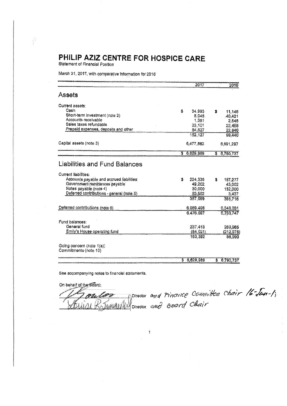Statement of Financial Position

i.

March 31, 2017, with comparative information for 2016

|                                                                                                      |     | 2017                        |    | 2016                         |
|------------------------------------------------------------------------------------------------------|-----|-----------------------------|----|------------------------------|
| Assets                                                                                               |     |                             |    |                              |
| Current assets:                                                                                      |     |                             |    |                              |
| Cash                                                                                                 | \$  | 34.993                      | s. | 11,146                       |
| Short-term investment (note 2)                                                                       |     | 8,045                       |    | 40,421                       |
| Accounts receivable                                                                                  |     | 1,361                       |    | 2.545                        |
| Sales taxes refundable                                                                               |     | 23,101                      |    | 22,488                       |
| Prepaid expenses, deposits and other                                                                 |     | 84.627                      |    | 22,840                       |
|                                                                                                      |     | 152, 127                    |    | 99,440                       |
| Capital assets (note 3)                                                                              |     | 6,477,862                   |    | 6,691,297                    |
|                                                                                                      |     | \$6,629,989                 |    | \$6,790,737                  |
| Accounts payable and accrued liabilities<br>Government remittances payable<br>Notes payable (note 4) | \$. | 224 335<br>49.202<br>30,000 | S  | 187.277<br>43,002<br>152,000 |
| Deferred contributions - general (note 5)                                                            |     | 83,562<br>387,099           |    | 3,437<br>385,716             |
|                                                                                                      |     |                             |    |                              |
| Deferred contributions (note 6)                                                                      |     | 6,089,498                   |    | 6,348,031                    |
|                                                                                                      |     | 6,476,597                   |    | 6,733,747                    |
| Fund balances:                                                                                       |     |                             |    |                              |
| General fund                                                                                         |     | 237.413                     |    | 269,965                      |
| Emily's House operating fund                                                                         |     | (84, 021)                   |    | (212, 975)                   |
|                                                                                                      |     | 153,392                     |    | 56,990                       |
| Going concern (note 1(a))<br>Commitments (note 10)                                                   |     |                             |    |                              |
|                                                                                                      |     | \$6,629,989                 | \$ | 6,790,737                    |

 $\overline{1}$ 

See accompanying notes to finanolal statements,

On behalf of the Board:

ammera

Director anza Fincence Committee Chair 16 Jan Director annd Board Chair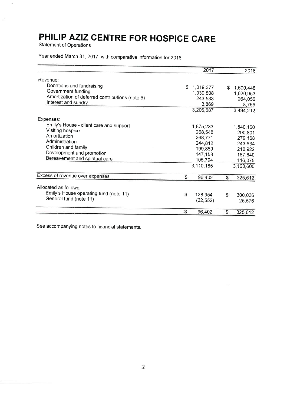Statement of Operations

Y)

 $\tilde{\mathcal{F}}$ 

Year ended March 31,2012, with comparative information for 2016

|                                                 |    | 2017        |    | 2016      |
|-------------------------------------------------|----|-------------|----|-----------|
| Revenue:                                        |    |             |    |           |
| Donations and fundraising                       |    | \$1,019,377 | \$ | 1,600,448 |
| Government funding                              |    | 1,939,808   |    | 1,620,953 |
| Amortization of deferred contributions (note 6) |    | 243,533     |    | 264,056   |
| Interest and sundry                             |    | 3,869       |    | 8,755     |
|                                                 |    | 3,206,587   |    | 3,494,212 |
| Expenses:                                       |    |             |    |           |
| Emily's House - client care and support         |    | 1,875,233   |    | 1,840,160 |
| Visiting hospice                                |    | 268,548     |    | 290,801   |
| Amortization                                    |    | 268,771     |    | 279,168   |
| Administration                                  |    | 244,812     |    | 243,634   |
| Children and family                             |    | 199,869     |    | 210,922   |
| Development and promotion                       |    | 147,158     |    | 187,840   |
| Bereavement and spiritual care                  |    | 105,794     |    | 116,075   |
|                                                 |    | 3,110,185   |    | 3,168,600 |
| Excess of revenue over expenses                 | \$ | 96,402      | S  | 325,612   |
|                                                 |    |             |    |           |
| Allocated as follows:                           |    |             |    |           |
| Emily's House operating fund (note 11)          | \$ | 128,954     | S  | 300,036   |
| General fund (note 11)                          |    | (32, 552)   |    | 25,576    |
|                                                 | S  | 96,402      | \$ | 325,612   |

See accompanying notes to financial statements.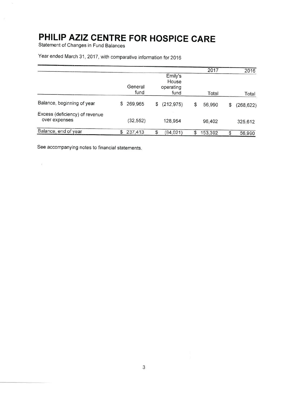Statement of Changes in Fund Balances

 $\sim$ 

|                                                 |    |                 |                                       | 2017         | 2016             |
|-------------------------------------------------|----|-----------------|---------------------------------------|--------------|------------------|
|                                                 |    | General<br>fund | Emily's<br>House<br>operating<br>fund | Total        | Total            |
| Balance, beginning of year                      | S  | 269,965         | \$<br>(212, 975)                      | \$<br>56,990 | \$<br>(268, 622) |
| Excess (deficiency) of revenue<br>over expenses |    | (32,552)        | 128,954                               | 96,402       | 325,612          |
| Balance, end of year                            | \$ | 237,413         | \$<br>(84, 021)                       | 153,392      | 56,990           |

Year ended March 31, 2017, with comparative information for 2016

See accompanying notes to financial statements.

 $\tilde{\mathcal{W}}_1$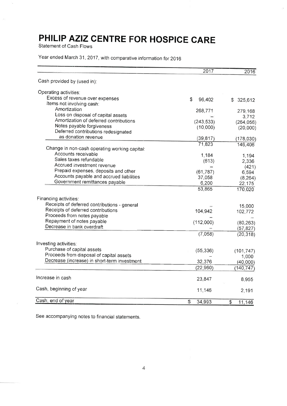Statement of Cash Flows

Y.

Year ended March 31, 2017, with comparative information for 2016

|                                               | 2017         | 2016          |
|-----------------------------------------------|--------------|---------------|
| Cash provided by (used in):                   |              |               |
| Operating activities:                         |              |               |
| Excess of revenue over expenses               | \$<br>96,402 | \$<br>325,612 |
| Items not involving cash:                     |              |               |
| Amortization                                  | 268,771      | 279,168       |
| Loss on disposal of capital assets            |              | 3,712         |
| Amortization of deferred contributions        | (243, 533)   | (264, 056)    |
| Notes payable forgiveness                     | (10,000)     | (20,000)      |
| Deferred contributions redesignated           |              |               |
| as donation revenue                           | (39, 817)    | (178, 030)    |
|                                               | 71,823       | 146,406       |
| Change in non-cash operating working capital: |              |               |
| Accounts receivable                           | 1,184        | 1,194         |
| Sales taxes refundable                        | (613)        | 2,336         |
| Accrued investment revenue                    |              | (421)         |
| Prepaid expenses, deposits and other          | (61, 787)    | 6,594         |
| Accounts payable and accrued liabilities      | 37,058       | (8, 264)      |
| Government remittances payable                | 6,200        | 22,175        |
|                                               | 53,865       | 170,020       |
| Financing activities:                         |              |               |
| Receipts of deferred contributions - general  |              | 15,000        |
| Receipts of deferred contributions            | 104,942      | 102,772       |
| Proceeds from notes payable                   |              |               |
| Repayment of notes payable                    | (112,000)    | (80, 263)     |
| Decrease in bank overdraft                    |              | (57,827)      |
|                                               | (7,058)      | (20, 318)     |
| Investing activities:                         |              |               |
| Purchase of capital assets                    |              |               |
| Proceeds from disposal of capital assets      | (55, 336)    | (101, 747)    |
|                                               |              | 1,000         |
| Decrease (increase) in short-term investment  | 32,376       | (40,000)      |
|                                               | (22,960)     | (140, 747)    |
| Increase in cash                              | 23,847       | 8,955         |
| Cash, beginning of year                       | 11,146       | 2,191         |
| Cash, end of year                             | \$<br>34,993 | \$<br>11,146  |

See accornpanying notes to financial statements.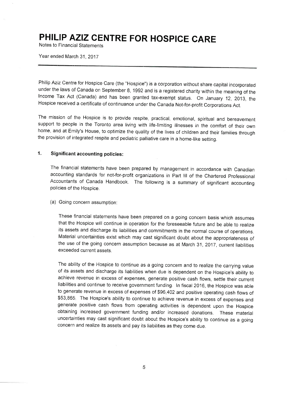Notes to Financial Statements

Year ended March 31, 2017

Philip Aziz Centre for Hospice Care (the "Hospice") is a corporation without share capital incorporated under the laws of Canada on September 8, 1992 and is a registered charity within the meaning of the lncome Tax Act (Canada) and has been granted tax-exempt status. On January 12, 2013, the Hospice receivecl a certificate of continuance under the Canada Not-for-profit Corporations Act.

The mission of the Hospice is to provide respite, practical, emotional, spiritual and bereavement support to people in the Toronto area living with life-limiting illnesses in the comfort of their own home, and at Emily's House, to optimize the quality of the lives of children and their families through the provision of integrated respite and pediatric palliative care in a home-like setting.

#### 1. Significant accounting policies:

The financial statements have been prepared by management in accordance with Canadian accounting standards for not-for-profit organizations in Part III of the Chartered Professional Accountants of Canada Handbook. The following is a summary of significant accounting policies of the Hosoice.

#### (a) Going concern assumption:

These financial statements have been prepared on a going concern basis which assumes that the Hospice will continue in operation for the foreseeable future and be able to realize its assets and discharge its liabilities and commitments in the normal course of operations. Material uncertainties exist which may cast significant doubt about the appropriateness of the use of the going concern assumption because as at March 31, 2017, current liabilities exceeded current assets.

The ability of the Hospice to continue as a going concern and to realize the carrying value of its assets and discharge its liabilities when due is dependent on the Hospice's ability to achieve revenue in excess of expenses, generate positive cash flows, settle their current liabilities and continue to receive government funding. In fiscal 2016, the Hospice was able to generate revenue in excess of expenses of \$96,402 and positive operating cash flows of \$53,865. The Hospice's ability to continue to achieve revenue in excess of expenses and generate positive cash flows from operating activities is dependent upon the Hospice obtaining increased government funding and/or increased donations. These material uncertainties may cast significant doubt about the Hospice's ability to continue as a going concern and realize its assets and pay its liabilities as they come due.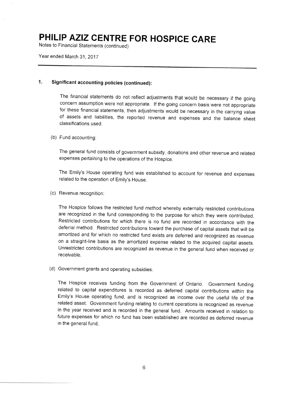Notes to Financial Statements (continued)

Year ended March 31, 2017

### 1. Significant accounting policies (continued):

The financial statements do not reflect adjustments that would be necessary if the going concern assumption were not appropriate. If the going concern basis were not appropriate for these financial statements, then adjustments would be necessary in the carrying value of assets and liabilities, the reported revenue and expenses and the balance sheet classifications usecl.

#### (b) Fund accounting:

The general fund consists of government subsidy, donations and other revenue and related expenses pertaining to the operations of the Hospice.

The Ernily's House operating fund was established to account for revenue and expenses related to the operation of Emily's House.

(c) Revenue recognition:

The Hospice follows the restricted fund method whereby externally restricted contributions are recognized in the fund corresponding to the purpose for which they were contributed. Restricfed contributions for which there is no fund are recorded in accordance with the deferral method. Restricted contributions toward the purchase of capital assets that will be amortized and for which no restricted fund exists are deferred and recognized as revenue on a straight-line basis as the amortized expense related to the acquired capital assets. Unrestricted contributions are recognized as revenue in the general fund when received or receivable.

(d) Government grants and operating subsidies

The Hospice receives funding from the Government of Ontario. Government funding related to capital expenditures is recorded as deferred capital contributions within the Emily's House operating fund, and is recognized as income over the useful life of the related asset. Government funding relating to current operations is recognized as revenue in the year received and is recorded in the general fund. Amounts received in relation to future expenses for which no fund has been established are recorded as deferred revenue in the general fund.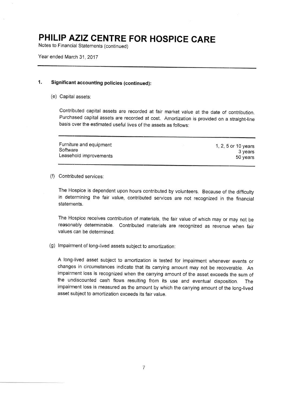Notes to Financial Statements (continued)

Year ended March 31,2017

#### Significant accounting policies (continued): 1.

(e) Capital assets:

Contributed capital assets are recorded at fair market value at the date of contribution. Purchased capital assets are recorded at cost. Amortization is provided on a straight-line basis over the estirnated useful lives of the assets as follows:

| Furniture and equipment | 1, 2, 5 or 10 years |
|-------------------------|---------------------|
| Software                | 3 vears             |
| Leasehold improvements  | 50 vears            |

(f) Contributed services:

The Hospice is dependent upon hours contributed by volunteers. Because of the difficulty in determining the fair value, contributed services are not recognized in the financial statements.

The Hospice receives contribution of materials, the fair value of which may or may not be reasonably determinable. Contributed materials are recognized as revenue when fair values can be determined.

(g) lmpairment of long-lived assets subject to amortization:

A long-lived asset subject to amoftization is tested for impairment whenever events or changes in circumstances indicate that its carrying amount may not be recoverable. An impairrnent loss is recognized when the carrying amount of the asset exceeds the sum of the undiscounted cash flows resulting from its use and eventual disposition. The impairment loss is rneasured as the amount by which the carrying amount of the long-lived asset subject to amortization exceeds its fair value.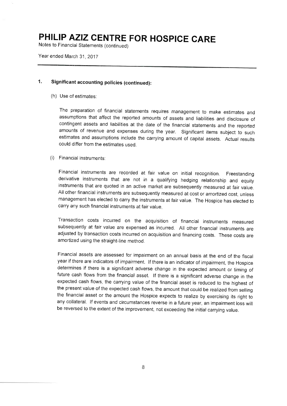Notes to Financial Statements (continued)

Year ended March 31, 2017

### 1. Significant accounting policies (continued):

(h) Use of estimates:

The preparation of financial staternents requires management to make estimates and assumptions that affect the reported amounts of assets and liabilities and disclosure of contingent assets and liabilities at the date of the financial statements and the reported amounts of revenue and expenses; during the year. Significant items subject to such estimates and assumptions include the carrying amount of capital assets. Actual results could differ from the estimates used.

#### (i) Financial instruments:

Financial instruments are recorded at fair value on initial recognition. Freestanding derivative instruments that are not in a qualifying hedging relationship and equity instruments that are quoted in an active market are subsequently measured at fair value. All other financial instruments are subsequently measured at cost or amortized cost, unless management has elected to carry the instruments at fair value. The Hospice has elected to carry any such financial instruments at fair value.

Transaction costs incurred on the acquisition of financial instruments measured subsequently at fair value are expensed as incurred. All other financial instruments are adjusted by transaction costs incurred on acquisition and financing costs. These costs are amortized using the straight-line method.

Financial assets are assessed for impairment on an annual basis at the end of the fiscal year if there are indicators of impairment. If there is an indicator of impairment, the Hospice determines if there is a significant adverse change in the expected amount or timing of future cash flows from the financial asset. If there is a significant adverse change in the expected cash flows, the carrying value of the financial asset is reduced to the highest of the present value of the expected cash flows, the amount that could be realized from selling the financial asset or the amount the Hospice expects to realize by exercising its right to any collateral. If events and circumstances reverse in a future year, an impairment loss will be reversed to the extent of the improvement, not exceeding the initial carrying value.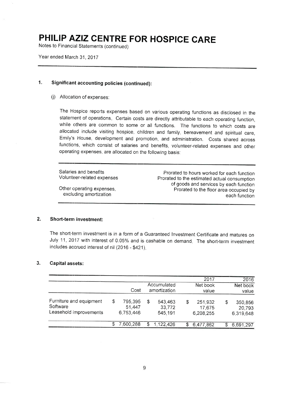Notes to Financial Statements (continued)

Year ended March 31, 2017

### 1. Significant accounting policies (continued):

(j) Allocation of expenses:

The Hospice repofts expenses based on various operating functions as disclosed in the statement of operations. Certain costs are directly attributable to each operating function, while others are common to some or all functions. The functions to which costs are allocated include visiting hospice, children and family, bereavement and spiritual care, Emily's House, development and promotion, and administration. Costs shared across functions, which consist of salaries and benefits, volunteer-related expenses and other operating expenses, are allocated on the following basis:

Salaries and benefits Volunteer-related exoenses

Other operating expenses, excluding amortization

Prorated to hours worked for each function Prorated to the estimated actual consumotion of goods and services by each function Prorated to the floor area occupied by each function

#### 2. Short-term investment:

The short-term investment is in a form of a Guaranteed Investment Certificate and matures on July 11, 2017 with interest of 0.05% and is cashable on demand. The short-term investment includes accrued interest of nil  $(2016 - $421)$ .

#### Capital assets: 3.

|                         |   |           |     |              |   | 2017      |    | 2016      |  |       |
|-------------------------|---|-----------|-----|--------------|---|-----------|----|-----------|--|-------|
|                         |   |           |     | Accumulated  |   | Net book  |    | Net book  |  |       |
|                         |   | Cost      |     | amortization |   |           |    | value     |  | value |
| Furniture and equipment | S | 795,395   | \$  | 543,463      | S | 251,932   | \$ | 350,856   |  |       |
| Software                |   | 51,447    |     | 33,772       |   | 17,675    |    | 20,793    |  |       |
| Leasehold improvements  |   | 6,753,446 |     | 545,191      |   | 6,208,255 |    | 6,319,648 |  |       |
|                         |   | 7,600,288 | \$. | 1,122,426    |   | 6,477,862 | S  | 6,691,297 |  |       |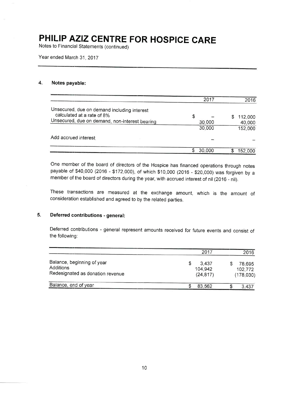Notes to Financial Statements (continued)

Year ended March 31.2012

#### $\overline{4}$ . Notes payable:

|                                                                           |   | 2017   | 2016    |
|---------------------------------------------------------------------------|---|--------|---------|
| Unsecured, due on demand including interest<br>calculated at a rate of 8% | S |        | 112,000 |
| Unsecured, due on demand, non-interest bearing                            |   | 30,000 | 40,000  |
|                                                                           |   | 30,000 | 152,000 |
| Add accrued interest                                                      |   |        |         |
|                                                                           |   | 30,000 | 152,000 |

One member of the board of directors of the Hospice has financed operations through notes payable of \$40,000 (2016 - \$172,000), of which \$10,000 (2016 - \$20,000) was forgiven by a member of the board of directors during the year, with accrued interest of nil (2016 - nil).

These transactions are measured at the exchange amount, which is the amount of consideration established and agreed to by the related parties.

#### 5. Deferred contributions - general:

Deferred contributions - general represent amounts received for future events and consist of the following:

|                                                                             | 2017                          | 2016                           |
|-----------------------------------------------------------------------------|-------------------------------|--------------------------------|
| Balance, beginning of year<br>Additions<br>Redesignated as donation revenue | 3.437<br>104.942<br>(24, 817) | 78,695<br>102,772<br>(178,030) |
| Balance, end of year                                                        | 83,562                        | 3.437                          |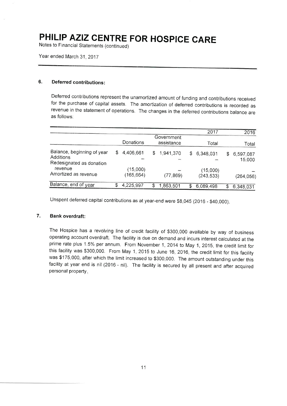Notes to Financial Statements (continued)

Year ended March 31, 2017

### 6. Deferred contributions:

Deferred contributions represent the unamortized amount of funding and contributions received for the purchase of capital assets. The amortization of deferred contributions is recorded as revenue in the statement of operations. The changes in the deferred contributions balance are as follows:

|                                                                     |   |                                       |    |           |    | 2017                   |       | 2016                |
|---------------------------------------------------------------------|---|---------------------------------------|----|-----------|----|------------------------|-------|---------------------|
|                                                                     |   | Government<br>Donations<br>assistance |    |           |    | Total                  | Total |                     |
| Balance, beginning of year<br>Additions<br>Redesignated as donation | S | 4,406,661                             | S  | 1,941,370 | S. | 6,348,031              | \$    | 6,597,087<br>15,000 |
| revenue<br>Amortized as revenue                                     |   | (15,000)<br>(165, 664)                |    | (77,869)  |    | (15,000)<br>(243, 533) |       | (264, 056)          |
| Balance, end of year                                                | S | 4,225,997                             | \$ | 1,863,501 | S  | 6,089,498              | \$    | 6,348,031           |

Unspent deferred capital contributions as at year-end were \$8,045 (2016 - \$40,000).

#### 7. Bank overdraft:

The Hospice has a revolving line of credit facility of \$300,000 available by way of business operating account overdraft. The facility is due on demand and incurs interest calculated at the prime rate plus 1.5% per annum. From November 1, 2014 to May 1, 2015, the credit limit for this facility was \$300,000. From May 1, 2015 to June 16, 2016, the credit limit for this facility was \$175,000, after which the limit increased to \$300,000. The amount outstanding under this facility at year end is nil (2016 - nil). The facility is secured by all present and after acquired personal property.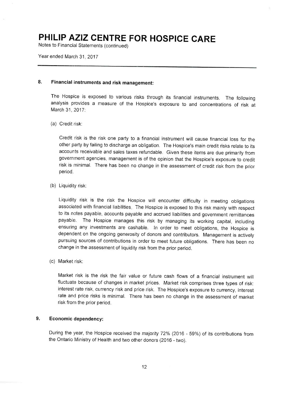Notes to Financial Statements (continued)

Year ended March 31. 2017

### 8. Financial instruments and risk management:

The Hospice is exposed to various risks through its financial instruments. The following analysis provides a measure of the Hospice's exposure to and concentrations of risk at March 31, 2017:

(a) Credit risk:

Credit risk is the risk one party to a financial instrument will cause financial loss for the other party by failing to discharge an obligation. The Hospice's main credit risks relate to its accounts receivable and sales taxes refundable. Given these items are due primarily from government agencies, management is of the opinion that the Hospice's exposure to credit risk is minimal. There has been no change in the assessment of credit risk from the prior period.

(b) Liquidity risk:

Liquidity risk is the risk the Hospice will encounter difficulty in meeting obligations associated with financial liabilities. The Hospice is exposed to this risk mainly with respect to its notes payable, accounts payable and accrued liabilities and government remittances payable. The Hospice manages this risk by managing its working capital, including ensuring any investments are cashable. In order to meet obligations, the Hospice is dependent on the ongoing generosity of donors and contributors. Management is actively pursuing sources of contributions in order to meet future obligations. There has been no change in the assessment of liquidity risk from the prior period.

(c) Market risk:

Market risk is the risk the fair value or future cash flows of a financial instrument will fluctuate because of changes in market prices. Market risk comprises three types of risk: interest rate risk, currency risk and price risk. The Hospice's exposure to currency, interest rate and price risks is minimal. There has been no change in the assessment of market risk from the prior period.

#### Economic dependency: 9.

During the year, the Hospice received the majority 72% (2016 - 59%) of its contributions from the Ontario Ministry of Health and two other donors (2016 - two).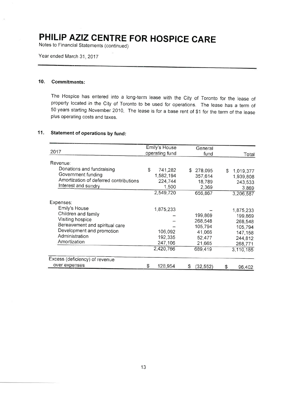Notes to Financial Statements (continued)

Year ended March 31.2017

#### 10. Commitments:

The Hospice has entered into a long-term lease with the City of Toronto for the lease of property located in the City of Toronto to be used for operations. The lease has a term of 50 years starting November 2010. The lease is for a base rent of \$1 for the term of the lease plus operating costs and taxes.

### '11. Statement of operations by fund:

| 2017                                                                                                                                                                   | Emily's House<br>operating fund                         | General<br>fund                                                        | Total                                                                                    |
|------------------------------------------------------------------------------------------------------------------------------------------------------------------------|---------------------------------------------------------|------------------------------------------------------------------------|------------------------------------------------------------------------------------------|
| Revenue:                                                                                                                                                               |                                                         |                                                                        |                                                                                          |
| Donations and fundraising<br>Government funding<br>Amortization of deferred contributions<br>Interest and sundry                                                       | \$<br>741,282<br>1,582,194<br>224,744<br>1,500          | S<br>278,095<br>357,614<br>18,789<br>2,369                             | S<br>1,019,377<br>1,939,808<br>243,533<br>3,869                                          |
|                                                                                                                                                                        | 2,549,720                                               | 656,867                                                                | 3,206,587                                                                                |
| Expenses:<br>Emily's House<br>Children and family<br>Visiting hospice<br>Bereavement and spiritual care<br>Development and promotion<br>Administration<br>Amortization | 1,875,233<br>106,092<br>192,335<br>247,106<br>2,420,766 | 199,869<br>268,548<br>105,794<br>41,066<br>52,477<br>21,665<br>689,419 | 1,875,233<br>199,869<br>268,548<br>105,794<br>147,158<br>244,812<br>268,771<br>3,110,185 |
| Excess (deficiency) of revenue                                                                                                                                         |                                                         |                                                                        |                                                                                          |
| over expenses                                                                                                                                                          | S<br>128,954                                            | (32, 552)<br>S                                                         | \$<br>96,402                                                                             |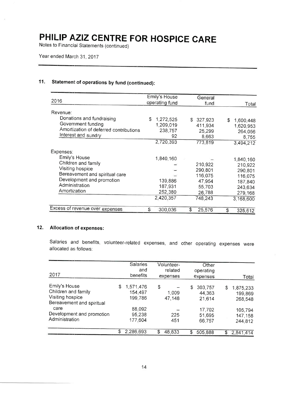Notes to Financial Statements (continued)

### 11. Statement of operations by fund (continued):

| 2016                                                                                                                                                      | Emily's House<br>operating fund                         | General<br>fund                                                        | Total                                                                                    |
|-----------------------------------------------------------------------------------------------------------------------------------------------------------|---------------------------------------------------------|------------------------------------------------------------------------|------------------------------------------------------------------------------------------|
| Revenue:                                                                                                                                                  |                                                         |                                                                        |                                                                                          |
| Donations and fundraising<br>Government funding<br>Amortization of deferred contributions<br>Interest and sundry                                          | \$<br>1,272,525<br>1,209,019<br>238,757<br>92           | \$.<br>327,923<br>411,934<br>25,299<br>8,663                           | \$<br>1,600,448<br>1,620,953<br>264,056<br>8,755                                         |
|                                                                                                                                                           | 2,720,393                                               | 773,819                                                                | 3,494,212                                                                                |
| Expenses:                                                                                                                                                 |                                                         |                                                                        |                                                                                          |
| Emily's House<br>Children and family<br>Visiting hospice<br>Bereavement and spiritual care<br>Development and promotion<br>Administration<br>Amortization | 1,840,160<br>139,886<br>187,931<br>252,380<br>2,420,357 | 210,922<br>290,801<br>116,075<br>47,954<br>55,703<br>26,788<br>748,243 | 1,840,160<br>210,922<br>290,801<br>116,075<br>187,840<br>243,634<br>279,168<br>3,168,600 |
| Excess of revenue over expenses                                                                                                                           | \$<br>300,036                                           | \$<br>25,576                                                           | \$<br>325,612                                                                            |

### 12. Allocation of expenses:

Salaries and benefits, volunteer-related expenses, and other operating expenses were allocated as follows:

| 2017                                                                                  |    | <b>Salaries</b><br>and<br>benefits | Volunteer-<br>related<br>expenses | Other<br>operating<br>expenses    | Total                                 |
|---------------------------------------------------------------------------------------|----|------------------------------------|-----------------------------------|-----------------------------------|---------------------------------------|
| Emily's House<br>Children and family<br>Visiting hospice<br>Bereavement and spiritual | S. | 1,571,476<br>154,497<br>199,786    | \$<br>1.009<br>47,148             | \$<br>303,757<br>44,363<br>21,614 | \$<br>1,875,233<br>199,869<br>268,548 |
| care<br>Development and promotion<br>Administration                                   |    | 88,092<br>95,238<br>177,604        | 225<br>451                        | 17,702<br>51,695<br>66.757        | 105,794<br>147,158<br>244,812         |
|                                                                                       | S  | 2,286,693                          | \$<br>48,833                      | \$<br>505,888                     | \$<br>2,841,414                       |